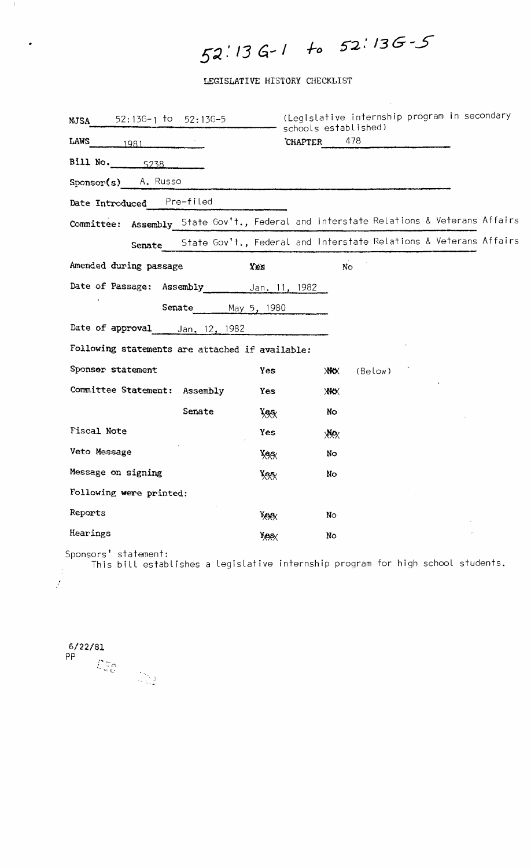# .. **5:)..' /3 6.- /** *1-0*

 $\mathcal{A}^{\mathcal{A}}$ 

LEGISLATIVE HISTORY CHECKLIST

| $52:136-1$ to $52:136-5$<br><b>NJSA</b>         | (Legislative internship program in secondary<br>schools established)                  |  |
|-------------------------------------------------|---------------------------------------------------------------------------------------|--|
| LAWS $1981$                                     | 478<br><b>CHAPTER</b>                                                                 |  |
| Bill No. $\frac{5238}{ }$                       |                                                                                       |  |
| Sponsor(s) A. Russo                             |                                                                                       |  |
| Date Introduced Pre-filed                       |                                                                                       |  |
|                                                 | Committee: Assembly State Gov't., Federal and Interstate Relations & Veterans Affairs |  |
|                                                 | Senate State Gov't., Federal and Interstate Relations & Veterans Affairs              |  |
| Amended during passage                          | Xex<br>No                                                                             |  |
| Date of Passage: Assembly                       | Jan. 11, 1982                                                                         |  |
| Senate May 5, 1980                              |                                                                                       |  |
| Date of approval________ Jan. 12, 1982          |                                                                                       |  |
| Following statements are attached if available: |                                                                                       |  |
| Sponsor statement                               | (Below)<br>Yes<br><b>XXX</b>                                                          |  |
| Committee Statement: Assembly                   | Yes<br><b>XXX</b>                                                                     |  |
| Senate                                          | No<br><b>Yes</b>                                                                      |  |
| <b>Fiscal Note</b>                              | Yes<br><b>XXX</b>                                                                     |  |
| Veto Message                                    | No<br><b>Yee</b>                                                                      |  |
| Message on signing                              | No<br>$X\rightarrow X$                                                                |  |
| Following were printed:                         |                                                                                       |  |
| Reports                                         | No<br>XXX                                                                             |  |
| Hearings                                        | No<br>XAAX                                                                            |  |

Sponsors' statement:

", , )

This bill establishes a legislative internship program for high school students.

6/22/81 PP

 $\mathcal{I}$ 

 $\pm 1$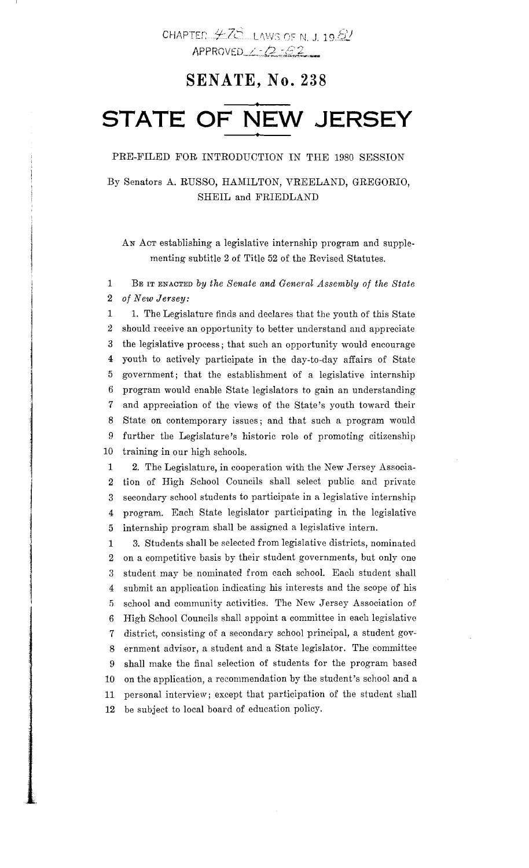## **SENATE, No. 238**

## **• STATE OF NEW JERSEY •**

#### PRE-FILED FOR INTRODUCTION IN THE 1980 SESSION

By Senators A. RUSSO, HAMILTON, VREELAND, GREGORIO, SHEIL and FRIEDLAND

AN ACT establishing a legislative internship program and supplementing subtitle 2 of Title 52 of the Revised Statutes.

1 BE IT ENACTED by the Senate and General Assembly of the State *2 of New Jersey:* 

1 1. The Legislature finds and declares that the youth of this State 2 should receive an opportunity to better understand and appreciate 3 the legislative process; that such an opportunity would encourage 4 youth to actively participate in the day-to-day affairs of State 5 government; that the establishment of a legislative internship 6 program would enable State legislators to gain an understanding 7 and appreciation of the views of the State's youth toward their 8 State on contemporary issues; and that such a program would 9 further the Legislature's historic role of promoting citizenship 10 training in our high schools.

1 2. The Legislature, in cooperation with the New Jersey Associa-2 tion of High School Councils shall select public and private 3 secondary school students to participate in a legislative internship 4 program. Each State legislator participating in the legislative 5 internship program shall be assigned a legislative intern.

1 3,. Students shall be selected from legislative districts, nominated 2 on a competitive basis by their student governments, but only one 3 student may be nominated from each school. Each student shall 4 submit an application indicating his interests and the scope of his 5 school and community activities. The New Jersey Association of 6 High School Councils shall appoint a committee in each legislative 7 district, consisting of a secondary school principal, a student gov-8 ernment advisor, a student and a State legislator. The committee 9 shall make the final selection of students for the program based 10 on the application, a recommendation by the student's school and a 11 personal interview; except that participation of the student shall 12 be subject to local board of education policy.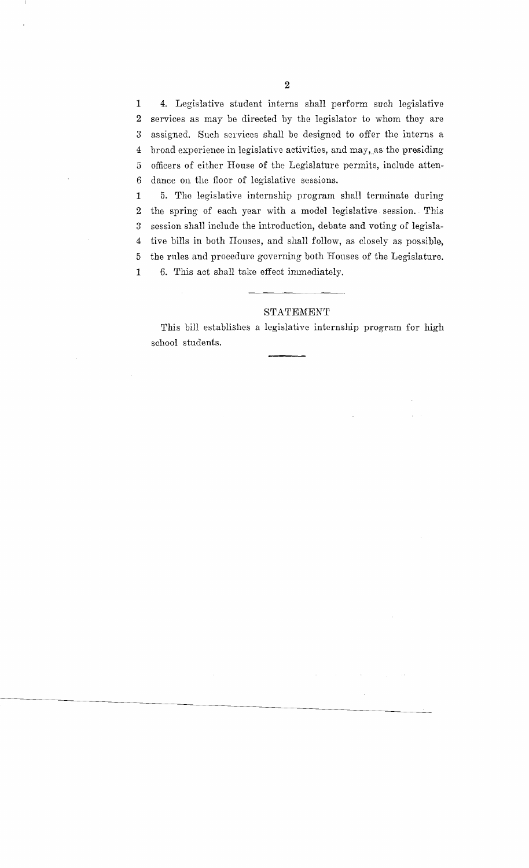1 4. Legislative student interns shall perform such legislative 2 services as may be directed by the legislator to whom they are 3 assigned. Such services shall be designed to offer the interns a 4 broad experience in legislative activities, and may, as the presiding 5 officers of either House of the Legislature permits, include atten-6 dance on the floor of legislative sessions.

1 5. The legislative internship program shall terminate during 2 the spring of each year with a model legislative session.. This 3 session shall include the introduction, debate and voting of legisla-4 tive bills in both Houses, and shall follow, as closely as possible, 5 the rules and procedure governing both Houses of the Legislature. 1 6. This act shall take effect immediately.

#### STA'fEMEN'f

This bill establishes a legislative internship program for high school students.

 $\bar{z}$ 

 $\sim$ 

 $\bar{\mathbf{v}}$ 

 $\sim$   $\sim$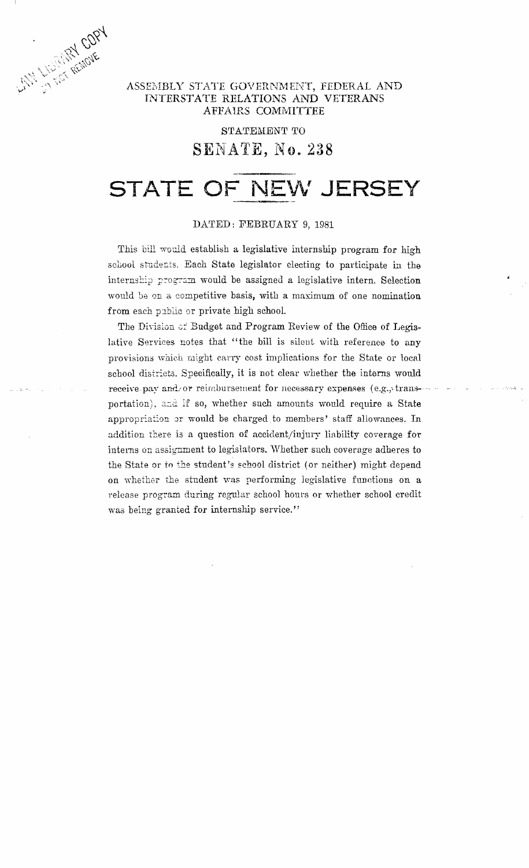

### ASSEMBLY STATE GOVERNMENT, FEDERAL AND INTERSTATE RELATIONS AND VETERANS AFFAIRS COMMITTEE

## STATEMENT TO SENATE, No. 238

## **STATE OF NEW JERSEY**

#### DATED: FEBRUARY 9, 1981

This bill would establish a legislative internship program for high school students. Each State legislator electing to participate in the internship program would be assigned a legislative intern. Selection would be on a competitive basis, with a maximum of one nomination from each public or private high school.

The Division of Budget and Program Review of the Office of Legislative Services notes that "the bill is silent with reference to any provisions which might earry cost implications for the State or local school districts. Specifically, it is not clear whether the interns would receive pay and/or reimbursement for necessary expenses (e.g., transportation), and if so, whether such amounts would require a State appropriation or would be charged to members' staff allowances. In addition there is a question of accident/injury liability coverage for interns on assignment to legislators. Whether such coverage adheres to the State or to the student's school district (or neither) might depend on whether the student was performing legislative functions on a release program during regular school hours or whether school credit was being granted for internship service."